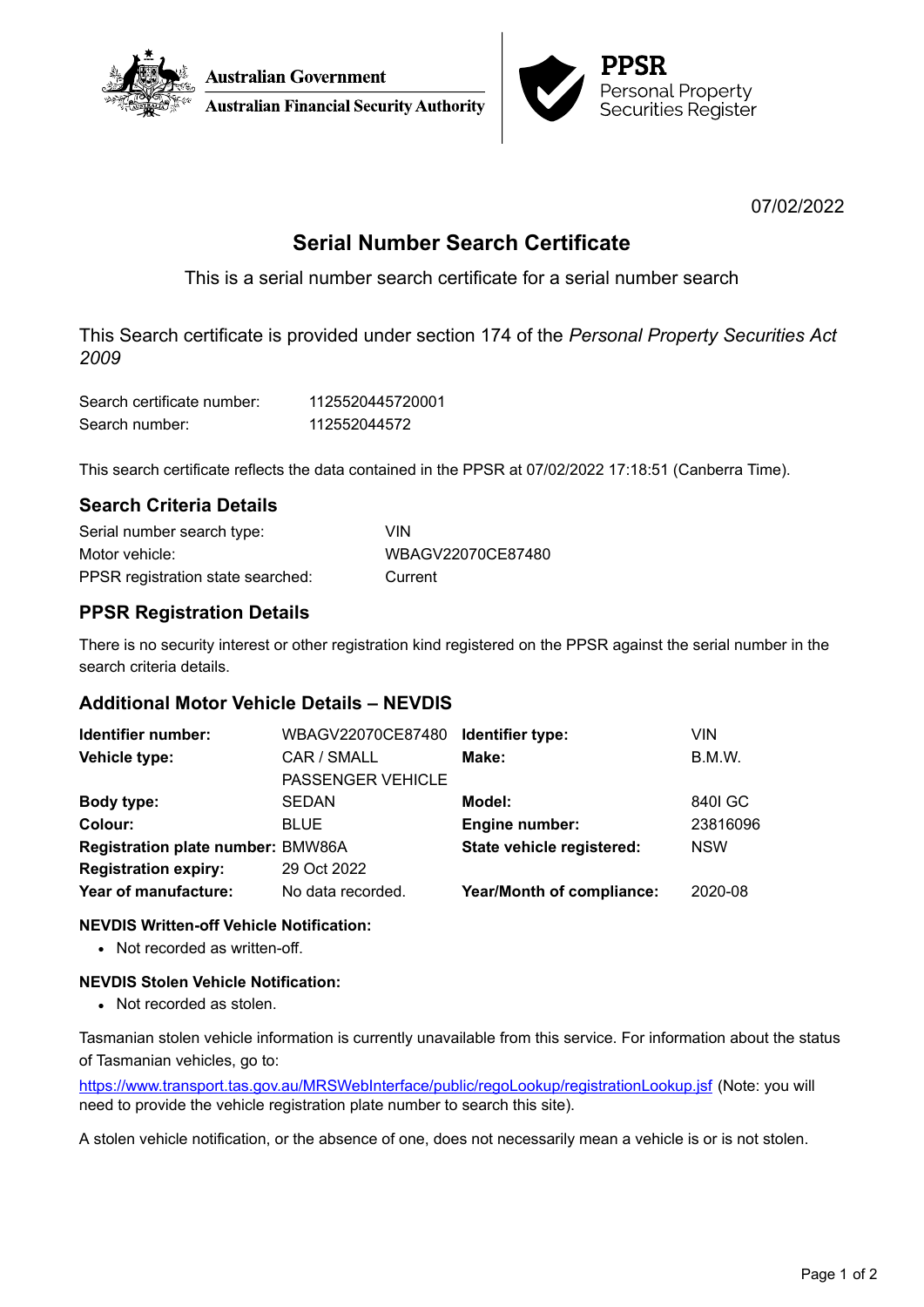



07/02/2022

# **Serial Number Search Certificate**

This is a serial number search certificate for a serial number search

This Search certificate is provided under section 174 of the *Personal Property Securities Act 2009*

| Search certificate number: | 1125520445720001 |
|----------------------------|------------------|
| Search number:             | 112552044572     |

This search certificate reflects the data contained in the PPSR at 07/02/2022 17:18:51 (Canberra Time).

# **Search Criteria Details**

| Serial number search type:        | VIN.              |
|-----------------------------------|-------------------|
| Motor vehicle:                    | WBAGV22070CE87480 |
| PPSR registration state searched: | Current           |

# **PPSR Registration Details**

There is no security interest or other registration kind registered on the PPSR against the serial number in the search criteria details.

## **Additional Motor Vehicle Details – NEVDIS**

| Identifier number:                | WBAGV22070CE87480        | Identifier type:          | VIN        |
|-----------------------------------|--------------------------|---------------------------|------------|
| Vehicle type:                     | CAR / SMALL              | Make:                     | B.M.W.     |
|                                   | <b>PASSENGER VEHICLE</b> |                           |            |
| Body type:                        | <b>SEDAN</b>             | Model:                    | 8401 GC    |
| Colour:                           | <b>BLUE</b>              | <b>Engine number:</b>     | 23816096   |
| Registration plate number: BMW86A |                          | State vehicle registered: | <b>NSW</b> |
| <b>Registration expiry:</b>       | 29 Oct 2022              |                           |            |
| Year of manufacture:              | No data recorded.        | Year/Month of compliance: | 2020-08    |

### **NEVDIS Written-off Vehicle Notification:**

• Not recorded as written-off.

### **NEVDIS Stolen Vehicle Notification:**

• Not recorded as stolen.

Tasmanian stolen vehicle information is currently unavailable from this service. For information about the status of Tasmanian vehicles, go to:

<https://www.transport.tas.gov.au/MRSWebInterface/public/regoLookup/registrationLookup.jsf> (Note: you will need to provide the vehicle registration plate number to search this site).

A stolen vehicle notification, or the absence of one, does not necessarily mean a vehicle is or is not stolen.